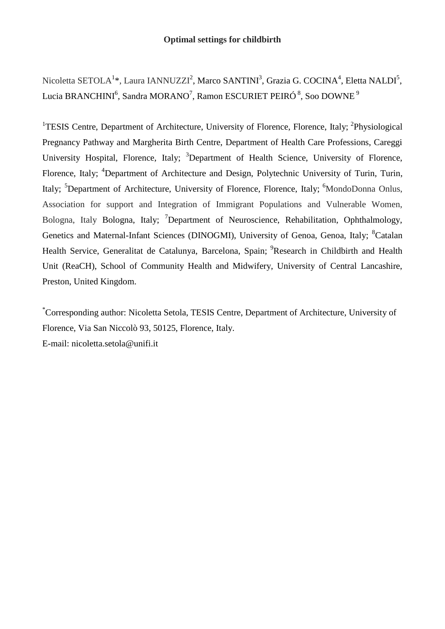# **Optimal settings for childbirth**

Nicoletta SETOLA<sup>1</sup>\*, Laura IANNUZZI<sup>2</sup>, Marco SANTINI<sup>3</sup>, Grazia G. COCINA<sup>4</sup>, Eletta NALDI<sup>5</sup>, Lucia BRANCHINI $^6$ , Sandra MORANO $^7$ , Ramon ESCURIET PEIRÓ  $^8$ , Soo DOWNE  $^9$ 

<sup>1</sup>TESIS Centre, Department of Architecture, University of Florence, Florence, Italy; <sup>2</sup>Physiological Pregnancy Pathway and Margherita Birth Centre, Department of Health Care Professions, Careggi University Hospital, Florence, Italy; <sup>3</sup>Department of Health Science, University of Florence, Florence, Italy; <sup>4</sup>Department of Architecture and Design, Polytechnic University of Turin, Turin, Italy; <sup>5</sup>Department of Architecture, University of Florence, Florence, Italy; <sup>6</sup>MondoDonna Onlus, Association for support and Integration of Immigrant Populations and Vulnerable Women, Bologna, Italy Bologna, Italy; <sup>7</sup>Department of Neuroscience, Rehabilitation, Ophthalmology, Genetics and Maternal-Infant Sciences (DINOGMI), University of Genoa, Genoa, Italy; <sup>8</sup>Catalan Health Service, Generalitat de Catalunya, Barcelona, Spain; <sup>9</sup>Research in Childbirth and Health Unit (ReaCH), School of Community Health and Midwifery, University of Central Lancashire, Preston, United Kingdom.

\*Corresponding author: Nicoletta Setola, TESIS Centre, Department of Architecture, University of Florence, Via San Niccolò 93, 50125, Florence, Italy.

E-mail: nicoletta.setola@unifi.it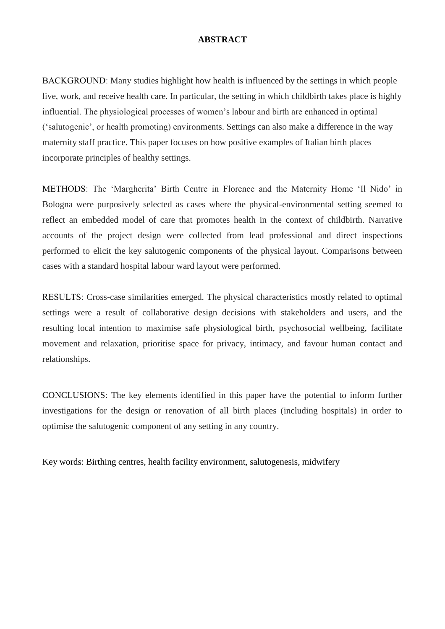## **ABSTRACT**

BACKGROUNDː Many studies highlight how health is influenced by the settings in which people live, work, and receive health care. In particular, the setting in which childbirth takes place is highly influential. The physiological processes of women's labour and birth are enhanced in optimal ('salutogenic', or health promoting) environments. Settings can also make a difference in the way maternity staff practice. This paper focuses on how positive examples of Italian birth places incorporate principles of healthy settings.

METHODSː The 'Margherita' Birth Centre in Florence and the Maternity Home 'Il Nido' in Bologna were purposively selected as cases where the physical-environmental setting seemed to reflect an embedded model of care that promotes health in the context of childbirth. Narrative accounts of the project design were collected from lead professional and direct inspections performed to elicit the key salutogenic components of the physical layout. Comparisons between cases with a standard hospital labour ward layout were performed.

RESULTSː Cross-case similarities emerged. The physical characteristics mostly related to optimal settings were a result of collaborative design decisions with stakeholders and users, and the resulting local intention to maximise safe physiological birth, psychosocial wellbeing, facilitate movement and relaxation, prioritise space for privacy, intimacy, and favour human contact and relationships.

CONCLUSIONSː The key elements identified in this paper have the potential to inform further investigations for the design or renovation of all birth places (including hospitals) in order to optimise the salutogenic component of any setting in any country.

Key words: Birthing centres, health facility environment, salutogenesis, midwifery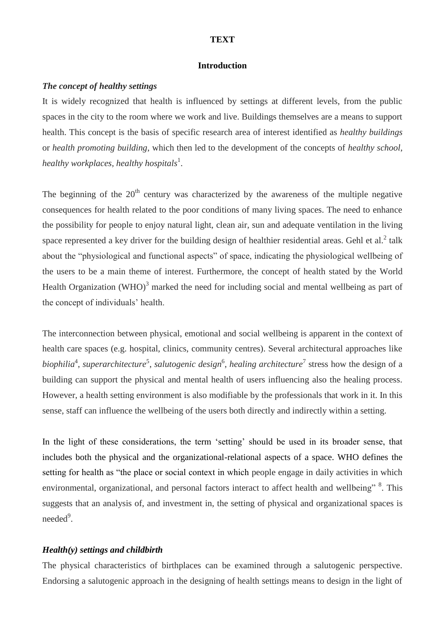#### **TEXT**

### **Introduction**

### *The concept of healthy settings*

It is widely recognized that health is influenced by settings at different levels, from the public spaces in the city to the room where we work and live. Buildings themselves are a means to support health. This concept is the basis of specific research area of interest identified as *healthy buildings* or *health promoting building*, which then led to the development of the concepts of *healthy school*, *healthy workplaces, healthy hospitals*<sup>1</sup> .

The beginning of the  $20<sup>th</sup>$  century was characterized by the awareness of the multiple negative consequences for health related to the poor conditions of many living spaces. The need to enhance the possibility for people to enjoy natural light, clean air, sun and adequate ventilation in the living space represented a key driver for the building design of healthier residential areas. Gehl et al.<sup>2</sup> talk about the "physiological and functional aspects" of space, indicating the physiological wellbeing of the users to be a main theme of interest. Furthermore, the concept of health stated by the World Health Organization  $(WHO)^3$  marked the need for including social and mental wellbeing as part of the concept of individuals' health.

The interconnection between physical, emotional and social wellbeing is apparent in the context of health care spaces (e.g. hospital, clinics, community centres). Several architectural approaches like biophilia<sup>4</sup>, superarchitecture<sup>5</sup>, salutogenic design<sup>6</sup>, healing architecture<sup>7</sup> stress how the design of a building can support the physical and mental health of users influencing also the healing process. However, a health setting environment is also modifiable by the professionals that work in it. In this sense, staff can influence the wellbeing of the users both directly and indirectly within a setting.

In the light of these considerations, the term 'setting' should be used in its broader sense, that includes both the physical and the organizational-relational aspects of a space. WHO defines the setting for health as "the place or social context in which people engage in daily activities in which environmental, organizational, and personal factors interact to affect health and wellbeing" <sup>8</sup>. This suggests that an analysis of, and investment in, the setting of physical and organizational spaces is needed<sup>9</sup>.

### *Health(y) settings and childbirth*

The physical characteristics of birthplaces can be examined through a salutogenic perspective. Endorsing a salutogenic approach in the designing of health settings means to design in the light of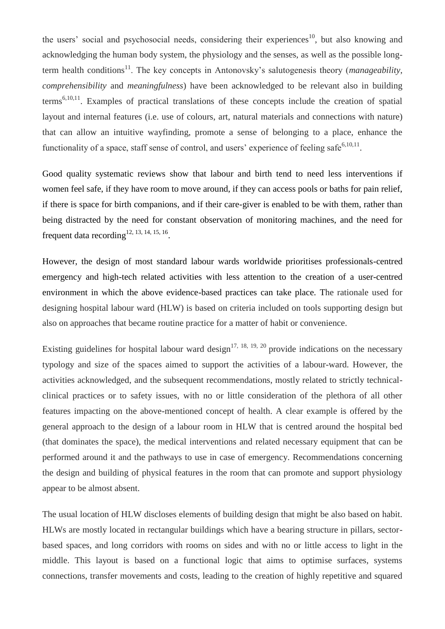the users' social and psychosocial needs, considering their experiences<sup>10</sup>, but also knowing and acknowledging the human body system, the physiology and the senses, as well as the possible longterm health conditions<sup>11</sup>. The key concepts in Antonovsky's salutogenesis theory (*manageability*, *comprehensibility* and *meaningfulness*) have been acknowledged to be relevant also in building terms<sup>6,10,11</sup>. Examples of practical translations of these concepts include the creation of spatial layout and internal features (i.e. use of colours, art, natural materials and connections with nature) that can allow an intuitive wayfinding, promote a sense of belonging to a place, enhance the functionality of a space, staff sense of control, and users' experience of feeling safe $6,10,11$ .

Good quality systematic reviews show that labour and birth tend to need less interventions if women feel safe, if they have room to move around, if they can access pools or baths for pain relief, if there is space for birth companions, and if their care-giver is enabled to be with them, rather than being distracted by the need for constant observation of monitoring machines, and the need for frequent data recording  $12, 13, 14, 15, 16$ .

However, the design of most standard labour wards worldwide prioritises professionals-centred emergency and high-tech related activities with less attention to the creation of a user-centred environment in which the above evidence-based practices can take place. The rationale used for designing hospital labour ward (HLW) is based on criteria included on tools supporting design but also on approaches that became routine practice for a matter of habit or convenience.

Existing guidelines for hospital labour ward design<sup>17, 18, 19, 20</sup> provide indications on the necessary typology and size of the spaces aimed to support the activities of a labour-ward. However, the activities acknowledged, and the subsequent recommendations, mostly related to strictly technicalclinical practices or to safety issues, with no or little consideration of the plethora of all other features impacting on the above-mentioned concept of health. A clear example is offered by the general approach to the design of a labour room in HLW that is centred around the hospital bed (that dominates the space), the medical interventions and related necessary equipment that can be performed around it and the pathways to use in case of emergency. Recommendations concerning the design and building of physical features in the room that can promote and support physiology appear to be almost absent.

The usual location of HLW discloses elements of building design that might be also based on habit. HLWs are mostly located in rectangular buildings which have a bearing structure in pillars, sectorbased spaces, and long corridors with rooms on sides and with no or little access to light in the middle. This layout is based on a functional logic that aims to optimise surfaces, systems connections, transfer movements and costs, leading to the creation of highly repetitive and squared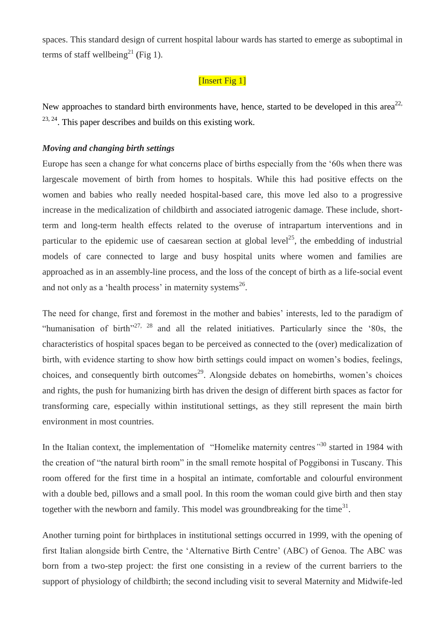spaces. This standard design of current hospital labour wards has started to emerge as suboptimal in terms of staff wellbeing<sup>21</sup> (Fig 1).

# [Insert Fig 1]

New approaches to standard birth environments have, hence, started to be developed in this area<sup>22,</sup>  $23, 24$ . This paper describes and builds on this existing work.

### *Moving and changing birth settings*

Europe has seen a change for what concerns place of births especially from the '60s when there was largescale movement of birth from homes to hospitals. While this had positive effects on the women and babies who really needed hospital-based care, this move led also to a progressive increase in the medicalization of childbirth and associated iatrogenic damage. These include, shortterm and long-term health effects related to the overuse of intrapartum interventions and in particular to the epidemic use of caesarean section at global level<sup>25</sup>, the embedding of industrial models of care connected to large and busy hospital units where women and families are approached as in an assembly-line process, and the loss of the concept of birth as a life-social event and not only as a 'health process' in maternity systems<sup>26</sup>.

The need for change, first and foremost in the mother and babies' interests, led to the paradigm of "humanisation of birth"<sup>27, 28</sup> and all the related initiatives. Particularly since the '80s, the characteristics of hospital spaces began to be perceived as connected to the (over) medicalization of birth, with evidence starting to show how birth settings could impact on women's bodies, feelings, choices, and consequently birth outcomes<sup>29</sup>. Alongside debates on homebirths, women's choices and rights, the push for humanizing birth has driven the design of different birth spaces as factor for transforming care, especially within institutional settings, as they still represent the main birth environment in most countries.

In the Italian context, the implementation of "Homelike maternity centres*"* <sup>30</sup> started in 1984 with the creation of "the natural birth room" in the small remote hospital of Poggibonsi in Tuscany. This room offered for the first time in a hospital an intimate, comfortable and colourful environment with a double bed, pillows and a small pool. In this room the woman could give birth and then stay together with the newborn and family. This model was groundbreaking for the time<sup>31</sup>.

Another turning point for birthplaces in institutional settings occurred in 1999, with the opening of first Italian alongside birth Centre, the 'Alternative Birth Centre' (ABC) of Genoa. The ABC was born from a two-step project: the first one consisting in a review of the current barriers to the support of physiology of childbirth; the second including visit to several Maternity and Midwife-led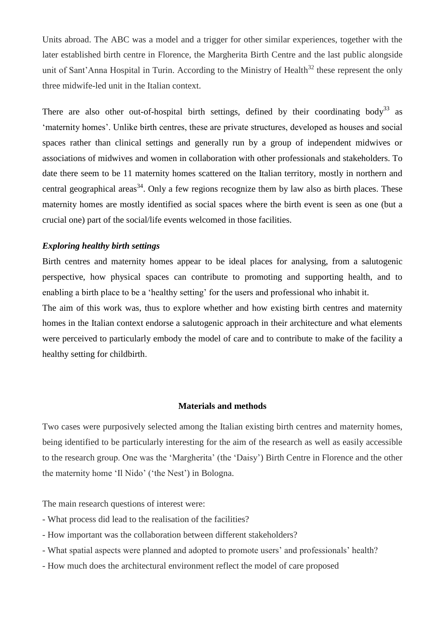Units abroad. The ABC was a model and a trigger for other similar experiences, together with the later established birth centre in Florence, the Margherita Birth Centre and the last public alongside unit of Sant'Anna Hospital in Turin. According to the Ministry of Health<sup>32</sup> these represent the only three midwife-led unit in the Italian context.

There are also other out-of-hospital birth settings, defined by their coordinating body<sup>33</sup> as 'maternity homes'. Unlike birth centres, these are private structures, developed as houses and social spaces rather than clinical settings and generally run by a group of independent midwives or associations of midwives and women in collaboration with other professionals and stakeholders. To date there seem to be 11 maternity homes scattered on the Italian territory, mostly in northern and central geographical areas<sup>34</sup>. Only a few regions recognize them by law also as birth places. These maternity homes are mostly identified as social spaces where the birth event is seen as one (but a crucial one) part of the social/life events welcomed in those facilities.

## *Exploring healthy birth settings*

Birth centres and maternity homes appear to be ideal places for analysing, from a salutogenic perspective, how physical spaces can contribute to promoting and supporting health, and to enabling a birth place to be a 'healthy setting' for the users and professional who inhabit it.

The aim of this work was, thus to explore whether and how existing birth centres and maternity homes in the Italian context endorse a salutogenic approach in their architecture and what elements were perceived to particularly embody the model of care and to contribute to make of the facility a healthy setting for childbirth.

### **Materials and methods**

Two cases were purposively selected among the Italian existing birth centres and maternity homes, being identified to be particularly interesting for the aim of the research as well as easily accessible to the research group. One was the 'Margherita' (the 'Daisy') Birth Centre in Florence and the other the maternity home 'Il Nido' ('the Nest') in Bologna.

The main research questions of interest were:

- What process did lead to the realisation of the facilities?
- How important was the collaboration between different stakeholders?
- What spatial aspects were planned and adopted to promote users' and professionals' health?
- How much does the architectural environment reflect the model of care proposed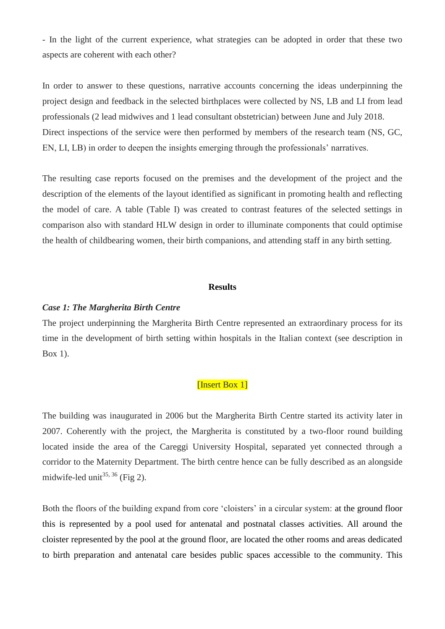- In the light of the current experience, what strategies can be adopted in order that these two aspects are coherent with each other?

In order to answer to these questions, narrative accounts concerning the ideas underpinning the project design and feedback in the selected birthplaces were collected by NS, LB and LI from lead professionals (2 lead midwives and 1 lead consultant obstetrician) between June and July 2018. Direct inspections of the service were then performed by members of the research team (NS, GC, EN, LI, LB) in order to deepen the insights emerging through the professionals' narratives.

The resulting case reports focused on the premises and the development of the project and the description of the elements of the layout identified as significant in promoting health and reflecting the model of care. A table (Table I) was created to contrast features of the selected settings in comparison also with standard HLW design in order to illuminate components that could optimise the health of childbearing women, their birth companions, and attending staff in any birth setting.

#### **Results**

#### *Case 1: The Margherita Birth Centre*

The project underpinning the Margherita Birth Centre represented an extraordinary process for its time in the development of birth setting within hospitals in the Italian context (see description in Box 1).

# [Insert Box 1]

The building was inaugurated in 2006 but the Margherita Birth Centre started its activity later in 2007. Coherently with the project, the Margherita is constituted by a two-floor round building located inside the area of the Careggi University Hospital, separated yet connected through a corridor to the Maternity Department. The birth centre hence can be fully described as an alongside midwife-led unit<sup>35, 36</sup> (Fig 2).

Both the floors of the building expand from core 'cloisters' in a circular system: at the ground floor this is represented by a pool used for antenatal and postnatal classes activities. All around the cloister represented by the pool at the ground floor, are located the other rooms and areas dedicated to birth preparation and antenatal care besides public spaces accessible to the community. This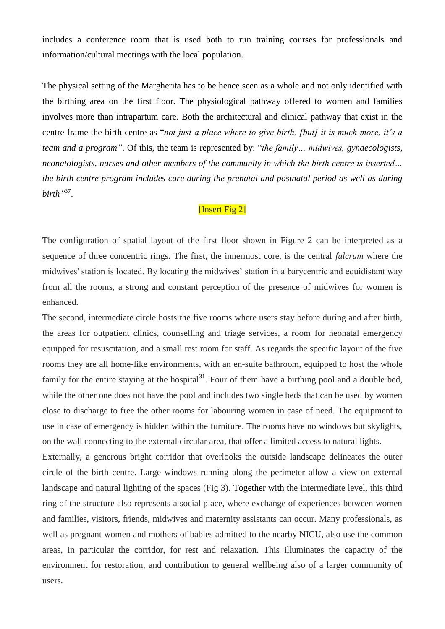includes a conference room that is used both to run training courses for professionals and information/cultural meetings with the local population.

The physical setting of the Margherita has to be hence seen as a whole and not only identified with the birthing area on the first floor. The physiological pathway offered to women and families involves more than intrapartum care. Both the architectural and clinical pathway that exist in the centre frame the birth centre as "*not just a place where to give birth, [but] it is much more, it's a team and a program"*. Of this, the team is represented by: "*the family… midwives, gynaecologists, neonatologists, nurses and other members of the community in which the birth centre is inserted… the birth centre program includes care during the prenatal and postnatal period as well as during birth"* 37 .

# [Insert Fig 2]

The configuration of spatial layout of the first floor shown in Figure 2 can be interpreted as a sequence of three concentric rings. The first, the innermost core, is the central *fulcrum* where the midwives' station is located. By locating the midwives' station in a barycentric and equidistant way from all the rooms, a strong and constant perception of the presence of midwives for women is enhanced.

The second, intermediate circle hosts the five rooms where users stay before during and after birth, the areas for outpatient clinics, counselling and triage services, a room for neonatal emergency equipped for resuscitation, and a small rest room for staff. As regards the specific layout of the five rooms they are all home-like environments, with an en-suite bathroom, equipped to host the whole family for the entire staying at the hospital $3<sup>1</sup>$ . Four of them have a birthing pool and a double bed, while the other one does not have the pool and includes two single beds that can be used by women close to discharge to free the other rooms for labouring women in case of need. The equipment to use in case of emergency is hidden within the furniture. The rooms have no windows but skylights, on the wall connecting to the external circular area, that offer a limited access to natural lights.

Externally, a generous bright corridor that overlooks the outside landscape delineates the outer circle of the birth centre. Large windows running along the perimeter allow a view on external landscape and natural lighting of the spaces (Fig 3). Together with the intermediate level, this third ring of the structure also represents a social place, where exchange of experiences between women and families, visitors, friends, midwives and maternity assistants can occur. Many professionals, as well as pregnant women and mothers of babies admitted to the nearby NICU, also use the common areas, in particular the corridor, for rest and relaxation. This illuminates the capacity of the environment for restoration, and contribution to general wellbeing also of a larger community of users.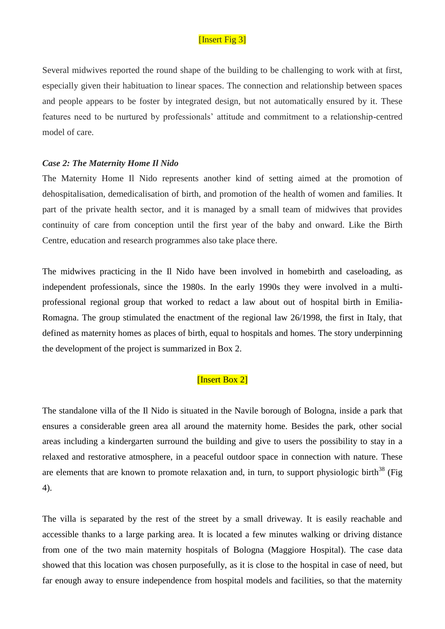# [Insert Fig 3]

Several midwives reported the round shape of the building to be challenging to work with at first, especially given their habituation to linear spaces. The connection and relationship between spaces and people appears to be foster by integrated design, but not automatically ensured by it. These features need to be nurtured by professionals' attitude and commitment to a relationship-centred model of care.

### *Case 2: The Maternity Home Il Nido*

The Maternity Home Il Nido represents another kind of setting aimed at the promotion of dehospitalisation, demedicalisation of birth, and promotion of the health of women and families. It part of the private health sector, and it is managed by a small team of midwives that provides continuity of care from conception until the first year of the baby and onward. Like the Birth Centre, education and research programmes also take place there.

The midwives practicing in the Il Nido have been involved in homebirth and caseloading, as independent professionals, since the 1980s. In the early 1990s they were involved in a multiprofessional regional group that worked to redact a law about out of hospital birth in Emilia-Romagna. The group stimulated the enactment of the regional law 26/1998, the first in Italy, that defined as maternity homes as places of birth, equal to hospitals and homes. The story underpinning the development of the project is summarized in Box 2.

## [Insert Box 2]

The standalone villa of the Il Nido is situated in the Navile borough of Bologna, inside a park that ensures a considerable green area all around the maternity home. Besides the park, other social areas including a kindergarten surround the building and give to users the possibility to stay in a relaxed and restorative atmosphere, in a peaceful outdoor space in connection with nature. These are elements that are known to promote relaxation and, in turn, to support physiologic birth<sup>38</sup> (Fig 4).

The villa is separated by the rest of the street by a small driveway. It is easily reachable and accessible thanks to a large parking area. It is located a few minutes walking or driving distance from one of the two main maternity hospitals of Bologna (Maggiore Hospital). The case data showed that this location was chosen purposefully, as it is close to the hospital in case of need, but far enough away to ensure independence from hospital models and facilities, so that the maternity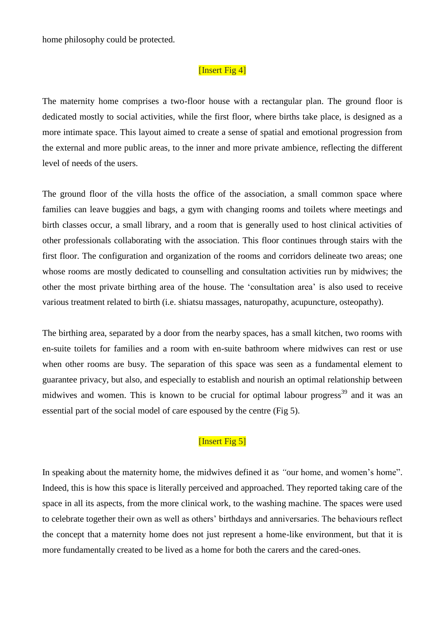home philosophy could be protected.

# [Insert Fig 4]

The maternity home comprises a two-floor house with a rectangular plan. The ground floor is dedicated mostly to social activities, while the first floor, where births take place, is designed as a more intimate space. This layout aimed to create a sense of spatial and emotional progression from the external and more public areas, to the inner and more private ambience, reflecting the different level of needs of the users.

The ground floor of the villa hosts the office of the association, a small common space where families can leave buggies and bags, a gym with changing rooms and toilets where meetings and birth classes occur, a small library, and a room that is generally used to host clinical activities of other professionals collaborating with the association. This floor continues through stairs with the first floor. The configuration and organization of the rooms and corridors delineate two areas; one whose rooms are mostly dedicated to counselling and consultation activities run by midwives; the other the most private birthing area of the house. The 'consultation area' is also used to receive various treatment related to birth (i.e. shiatsu massages, naturopathy, acupuncture, osteopathy).

The birthing area, separated by a door from the nearby spaces, has a small kitchen, two rooms with en-suite toilets for families and a room with en-suite bathroom where midwives can rest or use when other rooms are busy. The separation of this space was seen as a fundamental element to guarantee privacy, but also, and especially to establish and nourish an optimal relationship between midwives and women. This is known to be crucial for optimal labour progress<sup>39</sup> and it was an essential part of the social model of care espoused by the centre (Fig 5).

# [Insert Fig 5]

In speaking about the maternity home, the midwives defined it as *"*our home, and women's home". Indeed, this is how this space is literally perceived and approached. They reported taking care of the space in all its aspects, from the more clinical work, to the washing machine. The spaces were used to celebrate together their own as well as others' birthdays and anniversaries. The behaviours reflect the concept that a maternity home does not just represent a home-like environment, but that it is more fundamentally created to be lived as a home for both the carers and the cared-ones.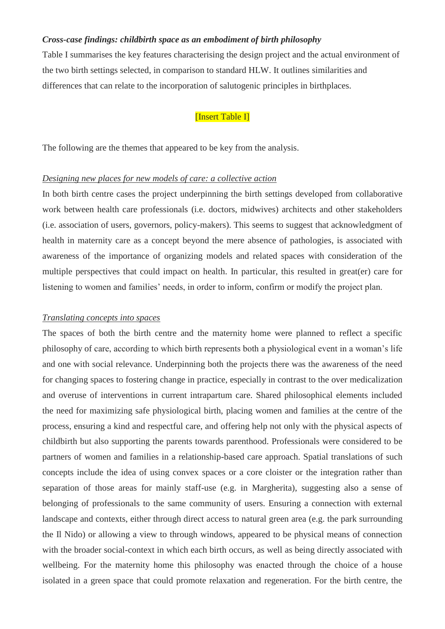### *Cross-case findings: childbirth space as an embodiment of birth philosophy*

Table I summarises the key features characterising the design project and the actual environment of the two birth settings selected, in comparison to standard HLW. It outlines similarities and differences that can relate to the incorporation of salutogenic principles in birthplaces.

## [Insert Table I]

The following are the themes that appeared to be key from the analysis.

### *Designing new places for new models of care: a collective action*

In both birth centre cases the project underpinning the birth settings developed from collaborative work between health care professionals (i.e. doctors, midwives) architects and other stakeholders (i.e. association of users, governors, policy-makers). This seems to suggest that acknowledgment of health in maternity care as a concept beyond the mere absence of pathologies, is associated with awareness of the importance of organizing models and related spaces with consideration of the multiple perspectives that could impact on health. In particular, this resulted in great(er) care for listening to women and families' needs, in order to inform, confirm or modify the project plan.

### *Translating concepts into spaces*

The spaces of both the birth centre and the maternity home were planned to reflect a specific philosophy of care, according to which birth represents both a physiological event in a woman's life and one with social relevance. Underpinning both the projects there was the awareness of the need for changing spaces to fostering change in practice, especially in contrast to the over medicalization and overuse of interventions in current intrapartum care. Shared philosophical elements included the need for maximizing safe physiological birth, placing women and families at the centre of the process, ensuring a kind and respectful care, and offering help not only with the physical aspects of childbirth but also supporting the parents towards parenthood. Professionals were considered to be partners of women and families in a relationship-based care approach. Spatial translations of such concepts include the idea of using convex spaces or a core cloister or the integration rather than separation of those areas for mainly staff-use (e.g. in Margherita), suggesting also a sense of belonging of professionals to the same community of users. Ensuring a connection with external landscape and contexts, either through direct access to natural green area (e.g. the park surrounding the Il Nido) or allowing a view to through windows, appeared to be physical means of connection with the broader social-context in which each birth occurs, as well as being directly associated with wellbeing. For the maternity home this philosophy was enacted through the choice of a house isolated in a green space that could promote relaxation and regeneration. For the birth centre, the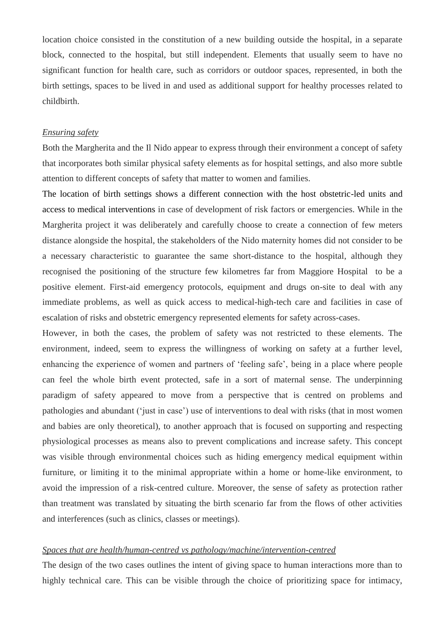location choice consisted in the constitution of a new building outside the hospital, in a separate block, connected to the hospital, but still independent. Elements that usually seem to have no significant function for health care, such as corridors or outdoor spaces, represented, in both the birth settings, spaces to be lived in and used as additional support for healthy processes related to childbirth.

#### *Ensuring safety*

Both the Margherita and the Il Nido appear to express through their environment a concept of safety that incorporates both similar physical safety elements as for hospital settings, and also more subtle attention to different concepts of safety that matter to women and families.

The location of birth settings shows a different connection with the host obstetric-led units and access to medical interventions in case of development of risk factors or emergencies. While in the Margherita project it was deliberately and carefully choose to create a connection of few meters distance alongside the hospital, the stakeholders of the Nido maternity homes did not consider to be a necessary characteristic to guarantee the same short-distance to the hospital, although they recognised the positioning of the structure few kilometres far from Maggiore Hospital to be a positive element. First-aid emergency protocols, equipment and drugs on-site to deal with any immediate problems, as well as quick access to medical-high-tech care and facilities in case of escalation of risks and obstetric emergency represented elements for safety across-cases.

However, in both the cases, the problem of safety was not restricted to these elements. The environment, indeed, seem to express the willingness of working on safety at a further level, enhancing the experience of women and partners of 'feeling safe', being in a place where people can feel the whole birth event protected, safe in a sort of maternal sense. The underpinning paradigm of safety appeared to move from a perspective that is centred on problems and pathologies and abundant ('just in case') use of interventions to deal with risks (that in most women and babies are only theoretical), to another approach that is focused on supporting and respecting physiological processes as means also to prevent complications and increase safety. This concept was visible through environmental choices such as hiding emergency medical equipment within furniture, or limiting it to the minimal appropriate within a home or home-like environment, to avoid the impression of a risk-centred culture. Moreover, the sense of safety as protection rather than treatment was translated by situating the birth scenario far from the flows of other activities and interferences (such as clinics, classes or meetings).

### *Spaces that are health/human-centred vs pathology/machine/intervention-centred*

The design of the two cases outlines the intent of giving space to human interactions more than to highly technical care. This can be visible through the choice of prioritizing space for intimacy,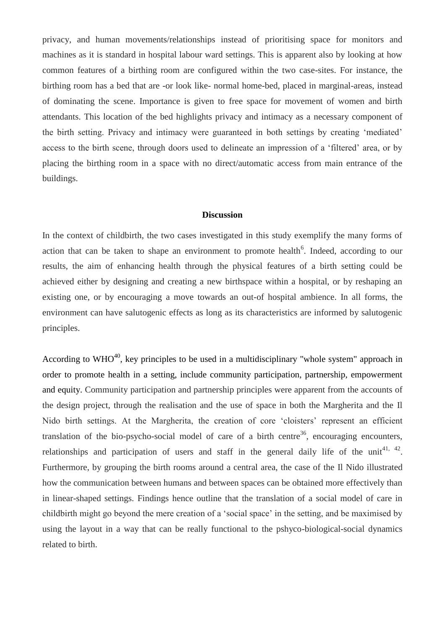privacy, and human movements/relationships instead of prioritising space for monitors and machines as it is standard in hospital labour ward settings. This is apparent also by looking at how common features of a birthing room are configured within the two case-sites. For instance, the birthing room has a bed that are -or look like- normal home-bed, placed in marginal-areas, instead of dominating the scene. Importance is given to free space for movement of women and birth attendants. This location of the bed highlights privacy and intimacy as a necessary component of the birth setting. Privacy and intimacy were guaranteed in both settings by creating 'mediated' access to the birth scene, through doors used to delineate an impression of a 'filtered' area, or by placing the birthing room in a space with no direct/automatic access from main entrance of the buildings.

### **Discussion**

In the context of childbirth, the two cases investigated in this study exemplify the many forms of action that can be taken to shape an environment to promote health<sup>6</sup>. Indeed, according to our results, the aim of enhancing health through the physical features of a birth setting could be achieved either by designing and creating a new birthspace within a hospital, or by reshaping an existing one, or by encouraging a move towards an out-of hospital ambience. In all forms, the environment can have salutogenic effects as long as its characteristics are informed by salutogenic principles.

According to WHO<sup>40</sup>, key principles to be used in a multidisciplinary "whole system" approach in order to promote health in a setting, include community participation, partnership, empowerment and equity. Community participation and partnership principles were apparent from the accounts of the design project, through the realisation and the use of space in both the Margherita and the Il Nido birth settings. At the Margherita, the creation of core 'cloisters' represent an efficient translation of the bio-psycho-social model of care of a birth centre<sup>36</sup>, encouraging encounters, relationships and participation of users and staff in the general daily life of the unit<sup>41, 42</sup>. Furthermore, by grouping the birth rooms around a central area, the case of the Il Nido illustrated how the communication between humans and between spaces can be obtained more effectively than in linear-shaped settings. Findings hence outline that the translation of a social model of care in childbirth might go beyond the mere creation of a 'social space' in the setting, and be maximised by using the layout in a way that can be really functional to the pshyco-biological-social dynamics related to birth.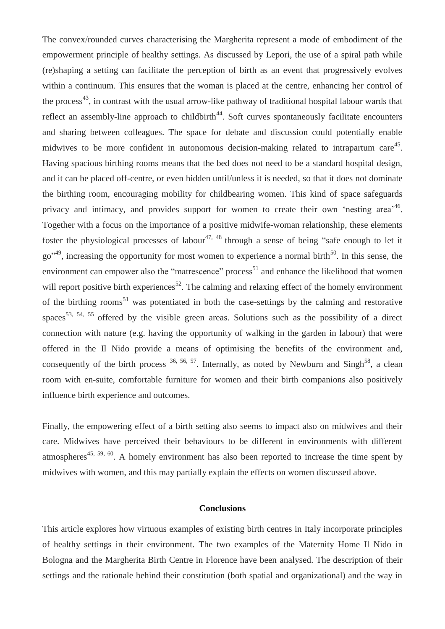The convex/rounded curves characterising the Margherita represent a mode of embodiment of the empowerment principle of healthy settings. As discussed by Lepori, the use of a spiral path while (re)shaping a setting can facilitate the perception of birth as an event that progressively evolves within a continuum. This ensures that the woman is placed at the centre, enhancing her control of the process<sup>43</sup>, in contrast with the usual arrow-like pathway of traditional hospital labour wards that reflect an assembly-line approach to childbirth<sup>44</sup>. Soft curves spontaneously facilitate encounters and sharing between colleagues. The space for debate and discussion could potentially enable midwives to be more confident in autonomous decision-making related to intrapartum care<sup>45</sup>. Having spacious birthing rooms means that the bed does not need to be a standard hospital design, and it can be placed off-centre, or even hidden until/unless it is needed, so that it does not dominate the birthing room, encouraging mobility for childbearing women. This kind of space safeguards privacy and intimacy, and provides support for women to create their own 'nesting area<sup>,46</sup>. Together with a focus on the importance of a positive midwife-woman relationship, these elements foster the physiological processes of labour<sup>47, 48</sup> through a sense of being "safe enough to let it go<sup>"49</sup>, increasing the opportunity for most women to experience a normal birth<sup>50</sup>. In this sense, the environment can empower also the "matrescence" process<sup>51</sup> and enhance the likelihood that women will report positive birth experiences<sup>52</sup>. The calming and relaxing effect of the homely environment of the birthing rooms<sup>51</sup> was potentiated in both the case-settings by the calming and restorative spaces<sup>53, 54, 55</sup> offered by the visible green areas. Solutions such as the possibility of a direct connection with nature (e.g. having the opportunity of walking in the garden in labour) that were offered in the Il Nido provide a means of optimising the benefits of the environment and, consequently of the birth process  $36, 56, 57$ . Internally, as noted by Newburn and Singh<sup>58</sup>, a clean room with en-suite, comfortable furniture for women and their birth companions also positively influence birth experience and outcomes.

Finally, the empowering effect of a birth setting also seems to impact also on midwives and their care. Midwives have perceived their behaviours to be different in environments with different atmospheres<sup>45, 59, 60</sup>. A homely environment has also been reported to increase the time spent by midwives with women, and this may partially explain the effects on women discussed above.

### **Conclusions**

This article explores how virtuous examples of existing birth centres in Italy incorporate principles of healthy settings in their environment. The two examples of the Maternity Home Il Nido in Bologna and the Margherita Birth Centre in Florence have been analysed. The description of their settings and the rationale behind their constitution (both spatial and organizational) and the way in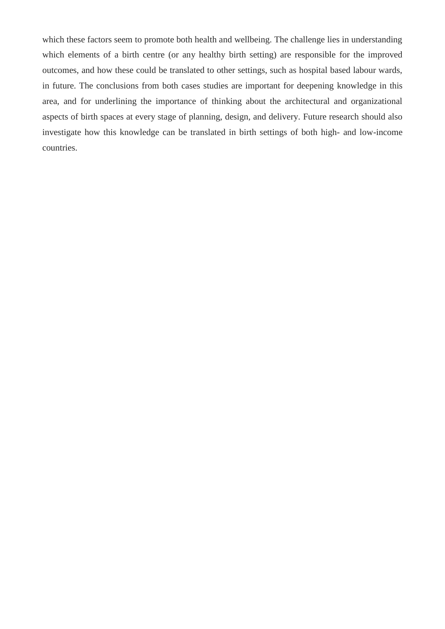which these factors seem to promote both health and wellbeing. The challenge lies in understanding which elements of a birth centre (or any healthy birth setting) are responsible for the improved outcomes, and how these could be translated to other settings, such as hospital based labour wards, in future. The conclusions from both cases studies are important for deepening knowledge in this area, and for underlining the importance of thinking about the architectural and organizational aspects of birth spaces at every stage of planning, design, and delivery. Future research should also investigate how this knowledge can be translated in birth settings of both high- and low-income countries.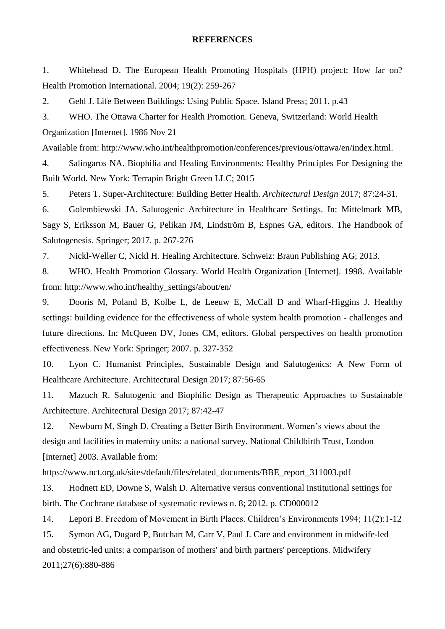### **REFERENCES**

1. Whitehead D. The European Health Promoting Hospitals (HPH) project: How far on? Health Promotion International. 2004; 19(2): 259-267

2. Gehl J. Life Between Buildings: Using Public Space. Island Press; 2011. p.43

3. WHO. The Ottawa Charter for Health Promotion. Geneva, Switzerland: World Health Organization [Internet]. 1986 Nov 21

Available from: http://www.who.int/healthpromotion/conferences/previous/ottawa/en/index.html.

4. Salingaros NA. Biophilia and Healing Environments: Healthy Principles For Designing the Built World. New York: Terrapin Bright Green LLC; 2015

5. Peters T. Super-Architecture: Building Better Health. *Architectural Design* 2017; 87:24-31.

6. Golembiewski JA. Salutogenic Architecture in Healthcare Settings. In: Mittelmark MB, Sagy S, Eriksson M, Bauer G, Pelikan JM, Lindström B, Espnes GA, editors. The Handbook of Salutogenesis. Springer; 2017. p. 267-276

7. Nickl-Weller C, Nickl H. Healing Architecture. Schweiz: Braun Publishing AG; 2013.

8. WHO. Health Promotion Glossary. World Health Organization [Internet]. 1998. Available from: [http://www.who.int/healthy\\_settings/about/en/](http://www.who.int/healthy_settings/about/en/)

9. Dooris M, Poland B, Kolbe L, de Leeuw E, McCall D and Wharf-Higgins J. Healthy settings: building evidence for the effectiveness of whole system health promotion - challenges and future directions. In: McQueen DV, Jones CM, editors. Global perspectives on health promotion effectiveness. New York: Springer; 2007. p. 327-352

10. Lyon C. Humanist Principles, Sustainable Design and Salutogenics: A New Form of Healthcare Architecture. Architectural Design 2017; 87:56-65

11. Mazuch R. Salutogenic and Biophilic Design as Therapeutic Approaches to Sustainable Architecture. Architectural Design 2017; 87:42-47

12. Newburn M, Singh D. Creating a Better Birth Environment. Women's views about the design and facilities in maternity units: a national survey. National Childbirth Trust, London [Internet] 2003. Available from:

https://www.nct.org.uk/sites/default/files/related\_documents/BBE\_report\_311003.pdf

13. Hodnett ED, Downe S, Walsh D. Alternative versus conventional institutional settings for birth. The Cochrane database of systematic reviews n. 8; 2012. p. CD000012

14. Lepori B. Freedom of Movement in Birth Places. Children's Environments 1994; 11(2):1-12

15. Symon AG, Dugard P, Butchart M, Carr V, Paul J. Care and environment in midwife-led and obstetric-led units: a comparison of mothers' and birth partners' perceptions. Midwifery 2011;27(6):880-886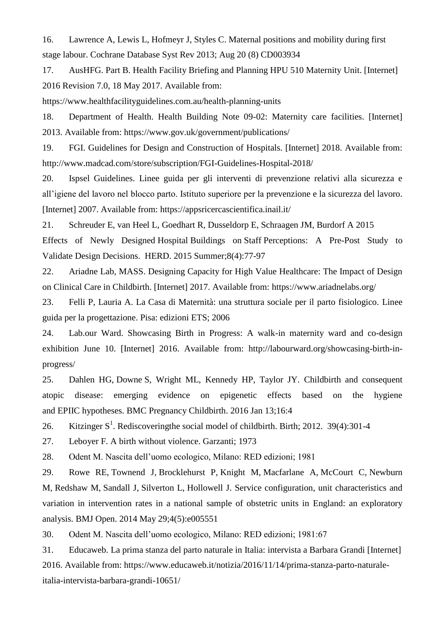16. Lawrence A, Lewis L, Hofmeyr J, Styles C. Maternal positions and mobility during first stage labour. Cochrane Database Syst Rev 2013; Aug 20 (8) CD003934

17. AusHFG. Part B. Health Facility Briefing and Planning HPU 510 Maternity Unit. [Internet] 2016 Revision 7.0, 18 May 2017. Available from:

<https://www.healthfacilityguidelines.com.au/health-planning-units>

18. Department of Health. Health Building Note 09-02: Maternity care facilities. [Internet] 2013. Available from:<https://www.gov.uk/government/publications/>

19. FGI. Guidelines for Design and Construction of Hospitals. [Internet] 2018. Available from: <http://www.madcad.com/store/subscription/FGI-Guidelines-Hospital-2018/>

20. Ispsel Guidelines. Linee guida per gli interventi di prevenzione relativi alla sicurezza e all'igiene del lavoro nel blocco parto. Istituto superiore per la prevenzione e la sicurezza del lavoro. [Internet] 2007. Available from:<https://appsricercascientifica.inail.it/>

21. [Schreuder E,](https://www.ncbi.nlm.nih.gov/pubmed/?term=Schreuder%20E%5BAuthor%5D&cauthor=true&cauthor_uid=26123969) [van Heel L,](https://www.ncbi.nlm.nih.gov/pubmed/?term=van%20Heel%20L%5BAuthor%5D&cauthor=true&cauthor_uid=26123969) [Goedhart R,](https://www.ncbi.nlm.nih.gov/pubmed/?term=Goedhart%20R%5BAuthor%5D&cauthor=true&cauthor_uid=26123969) [Dusseldorp E,](https://www.ncbi.nlm.nih.gov/pubmed/?term=Dusseldorp%20E%5BAuthor%5D&cauthor=true&cauthor_uid=26123969) [Schraagen JM,](https://www.ncbi.nlm.nih.gov/pubmed/?term=Schraagen%20JM%5BAuthor%5D&cauthor=true&cauthor_uid=26123969) [Burdorf A](https://www.ncbi.nlm.nih.gov/pubmed/?term=Burdorf%20A%5BAuthor%5D&cauthor=true&cauthor_uid=26123969) 2015

Effects of Newly Designed Hospital Buildings on Staff Perceptions: A Pre-Post Study to Validate Design Decisions. HERD. 2015 Summer;8(4):77-97

22. Ariadne Lab, MASS. Designing Capacity for High Value Healthcare: The Impact of Design on Clinical Care in Childbirth. [Internet] 2017. Available from:<https://www.ariadnelabs.org/>

23. Felli P, Lauria A. La Casa di Maternità: una struttura sociale per il parto fisiologico. Linee guida per la progettazione. Pisa: edizioni ETS; 2006

24. Lab.our Ward. Showcasing Birth in Progress: A walk-in maternity ward and co-design exhibition June 10. [Internet] 2016. Available from: http://labourward.org/showcasing-birth-inprogress/

25. Dahlen HG, Downe S, Wright ML, Kennedy HP, Taylor JY. [Childbirth and consequent](https://www.ncbi.nlm.nih.gov/pubmed/26762406)  [atopic disease: emerging evidence on epigenetic effects based on the hygiene](https://www.ncbi.nlm.nih.gov/pubmed/26762406)  and EPIIC [hypotheses.](https://www.ncbi.nlm.nih.gov/pubmed/26762406) BMC Pregnancy Childbirth. 2016 Jan 13;16:4

26. Kitzinger  $S^1$ . Rediscoveringthe social model of childbirth. Birth; 2012. 39(4):301-4

27. Leboyer F. A birth without violence. Garzanti; 1973

28. Odent M. Nascita dell'uomo ecologico, Milano: RED edizioni; 1981

29. [Rowe RE,](https://www.ncbi.nlm.nih.gov/pubmed/?term=Rowe%20RE%5BAuthor%5D&cauthor=true&cauthor_uid=24875492) [Townend J,](https://www.ncbi.nlm.nih.gov/pubmed/?term=Townend%20J%5BAuthor%5D&cauthor=true&cauthor_uid=24875492) [Brocklehurst P,](https://www.ncbi.nlm.nih.gov/pubmed/?term=Brocklehurst%20P%5BAuthor%5D&cauthor=true&cauthor_uid=24875492) [Knight M,](https://www.ncbi.nlm.nih.gov/pubmed/?term=Knight%20M%5BAuthor%5D&cauthor=true&cauthor_uid=24875492) [Macfarlane A,](https://www.ncbi.nlm.nih.gov/pubmed/?term=Macfarlane%20A%5BAuthor%5D&cauthor=true&cauthor_uid=24875492) [McCourt C,](https://www.ncbi.nlm.nih.gov/pubmed/?term=McCourt%20C%5BAuthor%5D&cauthor=true&cauthor_uid=24875492) [Newburn](https://www.ncbi.nlm.nih.gov/pubmed/?term=Newburn%20M%5BAuthor%5D&cauthor=true&cauthor_uid=24875492)  [M,](https://www.ncbi.nlm.nih.gov/pubmed/?term=Newburn%20M%5BAuthor%5D&cauthor=true&cauthor_uid=24875492) [Redshaw M,](https://www.ncbi.nlm.nih.gov/pubmed/?term=Redshaw%20M%5BAuthor%5D&cauthor=true&cauthor_uid=24875492) [Sandall J,](https://www.ncbi.nlm.nih.gov/pubmed/?term=Sandall%20J%5BAuthor%5D&cauthor=true&cauthor_uid=24875492) [Silverton L,](https://www.ncbi.nlm.nih.gov/pubmed/?term=Silverton%20L%5BAuthor%5D&cauthor=true&cauthor_uid=24875492) [Hollowell J.](https://www.ncbi.nlm.nih.gov/pubmed/?term=Hollowell%20J%5BAuthor%5D&cauthor=true&cauthor_uid=24875492) Service configuration, unit characteristics and variation in intervention rates in a national sample of obstetric units in England: an exploratory analysis. [BMJ Open.](https://www.ncbi.nlm.nih.gov/pubmed/24875492) 2014 May 29;4(5):e005551

30. Odent M. Nascita dell'uomo ecologico, Milano: RED edizioni; 1981:67

31. Educaweb. La prima stanza del parto naturale in Italia: intervista a Barbara Grandi [Internet] 2016. Available from: [https://www.educaweb.it/notizia/2016/11/14/prima-stanza-parto-naturale](https://www.educaweb.it/notizia/2016/11/14/prima-stanza-parto-naturale-italia-intervista-barbara-grandi-10651/)[italia-intervista-barbara-grandi-10651/](https://www.educaweb.it/notizia/2016/11/14/prima-stanza-parto-naturale-italia-intervista-barbara-grandi-10651/)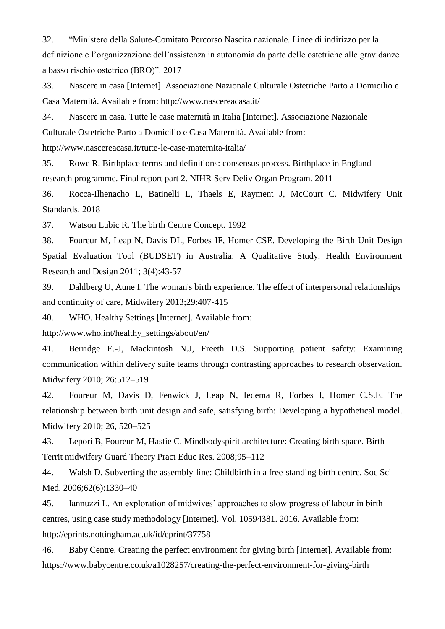32. "Ministero della Salute-Comitato Percorso Nascita nazionale. Linee di indirizzo per la definizione e l'organizzazione dell'assistenza in autonomia da parte delle ostetriche alle gravidanze a basso rischio ostetrico (BRO)". 2017

33. Nascere in casa [Internet]. Associazione Nazionale Culturale Ostetriche Parto a Domicilio e Casa Maternità. Available from:<http://www.nascereacasa.it/>

34. Nascere in casa. Tutte le case maternità in Italia [Internet]. Associazione Nazionale Culturale Ostetriche Parto a Domicilio e Casa Maternità. Available from:

<http://www.nascereacasa.it/tutte-le-case-maternita-italia/>

35. Rowe R. Birthplace terms and definitions: consensus process. Birthplace in England research programme. Final report part 2. NIHR Serv Deliv Organ Program. 2011

36. Rocca-Ilhenacho L, Batinelli L, Thaels E, Rayment J, McCourt C. Midwifery Unit Standards. 2018

37. Watson Lubic R. The birth Centre Concept. 1992

38. Foureur M, Leap N, Davis DL, Forbes IF, Homer CSE. Developing the Birth Unit Design Spatial Evaluation Tool (BUDSET) in Australia: A Qualitative Study. Health Environment Research and Design 2011; 3(4):43-57

39. Dahlberg U, Aune I. The woman's birth experience. The effect of interpersonal relationships and continuity of care, Midwifery 2013;29:407-415

40. WHO. Healthy Settings [Internet]. Available from:

http://www.who.int/healthy\_settings/about/en/

41. Berridge E.-J, Mackintosh N.J, Freeth D.S. Supporting patient safety: Examining communication within delivery suite teams through contrasting approaches to research observation. Midwifery 2010; 26:512–519

42. Foureur M, Davis D, Fenwick J, Leap N, Iedema R, Forbes I, Homer C.S.E. The relationship between birth unit design and safe, satisfying birth: Developing a hypothetical model. Midwifery 2010; 26, 520–525

43. Lepori B, Foureur M, Hastie C. Mindbodyspirit architecture: Creating birth space. Birth Territ midwifery Guard Theory Pract Educ Res. 2008;95–112

44. Walsh D. Subverting the assembly-line: Childbirth in a free-standing birth centre. Soc Sci Med. 2006;62(6):1330–40

45. Iannuzzi L. An exploration of midwives' approaches to slow progress of labour in birth centres, using case study methodology [Internet]. Vol. 10594381. 2016. Available from: http://eprints.nottingham.ac.uk/id/eprint/37758

46. Baby Centre. Creating the perfect environment for giving birth [Internet]. Available from: https://www.babycentre.co.uk/a1028257/creating-the-perfect-environment-for-giving-birth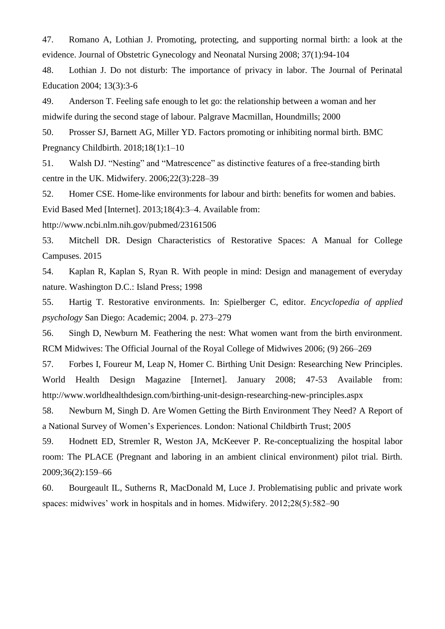47. Romano A, Lothian J. Promoting, protecting, and supporting normal birth: a look at the evidence. Journal of Obstetric Gynecology and Neonatal Nursing 2008; 37(1):94-104

48. Lothian J. Do not disturb: The importance of privacy in labor. The Journal of Perinatal Education 2004; 13(3):3-6

49. Anderson T. Feeling safe enough to let go: the relationship between a woman and her midwife during the second stage of labour. Palgrave Macmillan, Houndmills; 2000

50. Prosser SJ, Barnett AG, Miller YD. Factors promoting or inhibiting normal birth. BMC Pregnancy Childbirth. 2018;18(1):1–10

51. Walsh DJ. "Nesting" and "Matrescence" as distinctive features of a free-standing birth centre in the UK. Midwifery. 2006;22(3):228–39

52. Homer CSE. Home-like environments for labour and birth: benefits for women and babies.

Evid Based Med [Internet]. 2013;18(4):3–4. Available from:

http://www.ncbi.nlm.nih.gov/pubmed/23161506

53. Mitchell DR. Design Characteristics of Restorative Spaces: A Manual for College Campuses. 2015

54. Kaplan R, Kaplan S, Ryan R. With people in mind: Design and management of everyday nature. Washington D.C.: Island Press; 1998

55. Hartig T. Restorative environments. In: Spielberger C, editor. *Encyclopedia of applied psychology* San Diego: Academic; 2004. p. 273–279

56. Singh D, Newburn M. Feathering the nest: What women want from the birth environment. RCM Midwives: The Official Journal of the Royal College of Midwives 2006; (9) 266–269

57. Forbes I, Foureur M, Leap N, Homer C. Birthing Unit Design: Researching New Principles. World Health Design Magazine [Internet]. January 2008; 47-53 Available from[:](http://www.worldhealthdesign.com/birthing-unit-design-researching-new-principles.aspx) <http://www.worldhealthdesign.com/birthing-unit-design-researching-new-principles.aspx>

58. Newburn M, Singh D. Are Women Getting the Birth Environment They Need? A Report of a National Survey of Women's Experiences. London: National Childbirth Trust; 2005

59. Hodnett ED, Stremler R, Weston JA, McKeever P. Re-conceptualizing the hospital labor room: The PLACE (Pregnant and laboring in an ambient clinical environment) pilot trial. Birth. 2009;36(2):159–66

60. Bourgeault IL, Sutherns R, MacDonald M, Luce J. Problematising public and private work spaces: midwives' work in hospitals and in homes. Midwifery. 2012;28(5):582–90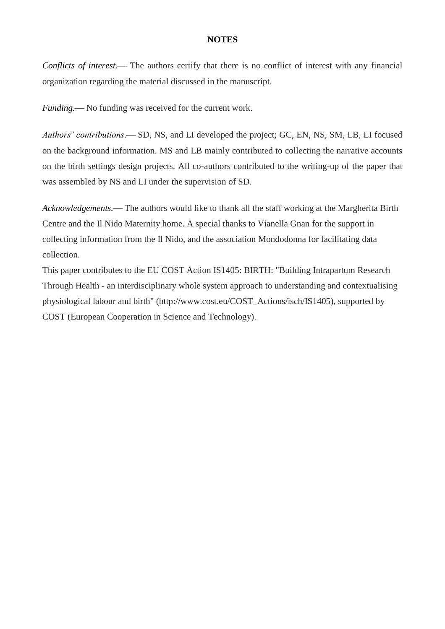## **NOTES**

*Conflicts of interest.*— The authors certify that there is no conflict of interest with any financial organization regarding the material discussed in the manuscript.

*Funding.* No funding was received for the current work.

*Authors' contributions*.— SD, NS, and LI developed the project; GC, EN, NS, SM, LB, LI focused on the background information. MS and LB mainly contributed to collecting the narrative accounts on the birth settings design projects. All co-authors contributed to the writing-up of the paper that was assembled by NS and LI under the supervision of SD.

*Acknowledgements.* The authors would like to thank all the staff working at the Margherita Birth Centre and the Il Nido Maternity home. A special thanks to Vianella Gnan for the support in collecting information from the Il Nido, and the association Mondodonna for facilitating data collection.

This paper contributes to the EU COST Action IS1405: BIRTH: "Building Intrapartum Research Through Health - an interdisciplinary whole system approach to understanding and contextualising physiological labour and birth" (http://www.cost.eu/COST\_Actions/isch/IS1405), supported by COST (European Cooperation in Science and Technology).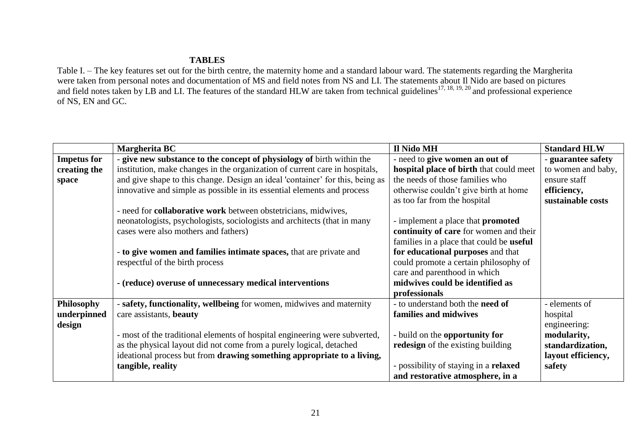# **TABLES**

Table I. – The key features set out for the birth centre, the maternity home and a standard labour ward. The statements regarding the Margherita were taken from personal notes and documentation of MS and field notes from NS and LI. The statements about Il Nido are based on pictures and field notes taken by LB and LI. The features of the standard HLW are taken from technical guidelines<sup>17, 18, 19, 20</sup> and professional experience of NS, EN and GC.

|                    | Margherita BC                                                                 | Il Nido MH                                      | <b>Standard HLW</b> |
|--------------------|-------------------------------------------------------------------------------|-------------------------------------------------|---------------------|
| <b>Impetus for</b> | - give new substance to the concept of physiology of birth within the         | - need to give women an out of                  | - guarantee safety  |
| creating the       | institution, make changes in the organization of current care in hospitals,   | hospital place of birth that could meet         | to women and baby,  |
| space              | and give shape to this change. Design an ideal 'container' for this, being as | the needs of those families who                 | ensure staff        |
|                    | innovative and simple as possible in its essential elements and process       | otherwise couldn't give birth at home           | efficiency,         |
|                    |                                                                               | as too far from the hospital                    | sustainable costs   |
|                    | - need for <b>collaborative work</b> between obstetricians, midwives,         |                                                 |                     |
|                    | neonatologists, psychologists, sociologists and architects (that in many      | - implement a place that <b>promoted</b>        |                     |
|                    | cases were also mothers and fathers)                                          | continuity of care for women and their          |                     |
|                    |                                                                               | families in a place that could be <b>useful</b> |                     |
|                    | - to give women and families intimate spaces, that are private and            | for educational purposes and that               |                     |
|                    | respectful of the birth process                                               | could promote a certain philosophy of           |                     |
|                    |                                                                               | care and parenthood in which                    |                     |
|                    | - (reduce) overuse of unnecessary medical interventions                       | midwives could be identified as                 |                     |
|                    |                                                                               | professionals                                   |                     |
| <b>Philosophy</b>  | - safety, functionality, wellbeing for women, midwives and maternity          | - to understand both the need of                | - elements of       |
| underpinned        | care assistants, beauty                                                       | families and midwives                           | hospital            |
| design             |                                                                               |                                                 | engineering:        |
|                    | - most of the traditional elements of hospital engineering were subverted,    | - build on the opportunity for                  | modularity,         |
|                    | as the physical layout did not come from a purely logical, detached           | redesign of the existing building               | standardization,    |
|                    | ideational process but from drawing something appropriate to a living,        |                                                 | layout efficiency,  |
|                    | tangible, reality                                                             | - possibility of staying in a <b>relaxed</b>    | safety              |
|                    |                                                                               | and restorative atmosphere, in a                |                     |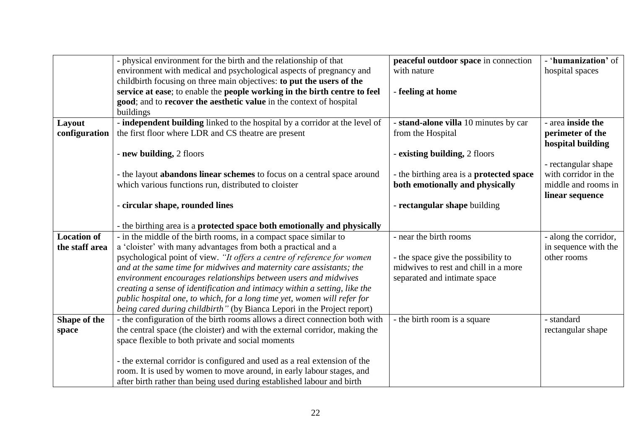| - physical environment for the birth and the relationship of that              | peaceful outdoor space in connection                                                                                                                                                                                                                                                                                                                                                                                                                                                                                                                                                                                                                                                                                                                                                                                                                                                                                                                                                                                                                                                                                                                                                                                                                                                                                                                                                                | - 'humanization' of                                                                                                                                                                                                             |
|--------------------------------------------------------------------------------|-----------------------------------------------------------------------------------------------------------------------------------------------------------------------------------------------------------------------------------------------------------------------------------------------------------------------------------------------------------------------------------------------------------------------------------------------------------------------------------------------------------------------------------------------------------------------------------------------------------------------------------------------------------------------------------------------------------------------------------------------------------------------------------------------------------------------------------------------------------------------------------------------------------------------------------------------------------------------------------------------------------------------------------------------------------------------------------------------------------------------------------------------------------------------------------------------------------------------------------------------------------------------------------------------------------------------------------------------------------------------------------------------------|---------------------------------------------------------------------------------------------------------------------------------------------------------------------------------------------------------------------------------|
|                                                                                |                                                                                                                                                                                                                                                                                                                                                                                                                                                                                                                                                                                                                                                                                                                                                                                                                                                                                                                                                                                                                                                                                                                                                                                                                                                                                                                                                                                                     | hospital spaces                                                                                                                                                                                                                 |
|                                                                                |                                                                                                                                                                                                                                                                                                                                                                                                                                                                                                                                                                                                                                                                                                                                                                                                                                                                                                                                                                                                                                                                                                                                                                                                                                                                                                                                                                                                     |                                                                                                                                                                                                                                 |
|                                                                                |                                                                                                                                                                                                                                                                                                                                                                                                                                                                                                                                                                                                                                                                                                                                                                                                                                                                                                                                                                                                                                                                                                                                                                                                                                                                                                                                                                                                     |                                                                                                                                                                                                                                 |
|                                                                                |                                                                                                                                                                                                                                                                                                                                                                                                                                                                                                                                                                                                                                                                                                                                                                                                                                                                                                                                                                                                                                                                                                                                                                                                                                                                                                                                                                                                     |                                                                                                                                                                                                                                 |
|                                                                                |                                                                                                                                                                                                                                                                                                                                                                                                                                                                                                                                                                                                                                                                                                                                                                                                                                                                                                                                                                                                                                                                                                                                                                                                                                                                                                                                                                                                     | - area inside the                                                                                                                                                                                                               |
|                                                                                |                                                                                                                                                                                                                                                                                                                                                                                                                                                                                                                                                                                                                                                                                                                                                                                                                                                                                                                                                                                                                                                                                                                                                                                                                                                                                                                                                                                                     | perimeter of the                                                                                                                                                                                                                |
|                                                                                |                                                                                                                                                                                                                                                                                                                                                                                                                                                                                                                                                                                                                                                                                                                                                                                                                                                                                                                                                                                                                                                                                                                                                                                                                                                                                                                                                                                                     | hospital building                                                                                                                                                                                                               |
|                                                                                | - existing building, 2 floors                                                                                                                                                                                                                                                                                                                                                                                                                                                                                                                                                                                                                                                                                                                                                                                                                                                                                                                                                                                                                                                                                                                                                                                                                                                                                                                                                                       |                                                                                                                                                                                                                                 |
|                                                                                |                                                                                                                                                                                                                                                                                                                                                                                                                                                                                                                                                                                                                                                                                                                                                                                                                                                                                                                                                                                                                                                                                                                                                                                                                                                                                                                                                                                                     | - rectangular shape                                                                                                                                                                                                             |
| - the layout <b>abandons linear schemes</b> to focus on a central space around | - the birthing area is a protected space                                                                                                                                                                                                                                                                                                                                                                                                                                                                                                                                                                                                                                                                                                                                                                                                                                                                                                                                                                                                                                                                                                                                                                                                                                                                                                                                                            | with corridor in the                                                                                                                                                                                                            |
|                                                                                | both emotionally and physically                                                                                                                                                                                                                                                                                                                                                                                                                                                                                                                                                                                                                                                                                                                                                                                                                                                                                                                                                                                                                                                                                                                                                                                                                                                                                                                                                                     | middle and rooms in                                                                                                                                                                                                             |
|                                                                                |                                                                                                                                                                                                                                                                                                                                                                                                                                                                                                                                                                                                                                                                                                                                                                                                                                                                                                                                                                                                                                                                                                                                                                                                                                                                                                                                                                                                     | linear sequence                                                                                                                                                                                                                 |
|                                                                                |                                                                                                                                                                                                                                                                                                                                                                                                                                                                                                                                                                                                                                                                                                                                                                                                                                                                                                                                                                                                                                                                                                                                                                                                                                                                                                                                                                                                     |                                                                                                                                                                                                                                 |
|                                                                                |                                                                                                                                                                                                                                                                                                                                                                                                                                                                                                                                                                                                                                                                                                                                                                                                                                                                                                                                                                                                                                                                                                                                                                                                                                                                                                                                                                                                     |                                                                                                                                                                                                                                 |
|                                                                                |                                                                                                                                                                                                                                                                                                                                                                                                                                                                                                                                                                                                                                                                                                                                                                                                                                                                                                                                                                                                                                                                                                                                                                                                                                                                                                                                                                                                     | - along the corridor,                                                                                                                                                                                                           |
|                                                                                |                                                                                                                                                                                                                                                                                                                                                                                                                                                                                                                                                                                                                                                                                                                                                                                                                                                                                                                                                                                                                                                                                                                                                                                                                                                                                                                                                                                                     | in sequence with the                                                                                                                                                                                                            |
|                                                                                |                                                                                                                                                                                                                                                                                                                                                                                                                                                                                                                                                                                                                                                                                                                                                                                                                                                                                                                                                                                                                                                                                                                                                                                                                                                                                                                                                                                                     | other rooms                                                                                                                                                                                                                     |
|                                                                                | midwives to rest and chill in a more                                                                                                                                                                                                                                                                                                                                                                                                                                                                                                                                                                                                                                                                                                                                                                                                                                                                                                                                                                                                                                                                                                                                                                                                                                                                                                                                                                |                                                                                                                                                                                                                                 |
| environment encourages relationships between users and midwives                | separated and intimate space                                                                                                                                                                                                                                                                                                                                                                                                                                                                                                                                                                                                                                                                                                                                                                                                                                                                                                                                                                                                                                                                                                                                                                                                                                                                                                                                                                        |                                                                                                                                                                                                                                 |
| creating a sense of identification and intimacy within a setting, like the     |                                                                                                                                                                                                                                                                                                                                                                                                                                                                                                                                                                                                                                                                                                                                                                                                                                                                                                                                                                                                                                                                                                                                                                                                                                                                                                                                                                                                     |                                                                                                                                                                                                                                 |
| public hospital one, to which, for a long time yet, women will refer for       |                                                                                                                                                                                                                                                                                                                                                                                                                                                                                                                                                                                                                                                                                                                                                                                                                                                                                                                                                                                                                                                                                                                                                                                                                                                                                                                                                                                                     |                                                                                                                                                                                                                                 |
| being cared during childbirth" (by Bianca Lepori in the Project report)        |                                                                                                                                                                                                                                                                                                                                                                                                                                                                                                                                                                                                                                                                                                                                                                                                                                                                                                                                                                                                                                                                                                                                                                                                                                                                                                                                                                                                     |                                                                                                                                                                                                                                 |
|                                                                                |                                                                                                                                                                                                                                                                                                                                                                                                                                                                                                                                                                                                                                                                                                                                                                                                                                                                                                                                                                                                                                                                                                                                                                                                                                                                                                                                                                                                     | - standard                                                                                                                                                                                                                      |
|                                                                                |                                                                                                                                                                                                                                                                                                                                                                                                                                                                                                                                                                                                                                                                                                                                                                                                                                                                                                                                                                                                                                                                                                                                                                                                                                                                                                                                                                                                     | rectangular shape                                                                                                                                                                                                               |
|                                                                                |                                                                                                                                                                                                                                                                                                                                                                                                                                                                                                                                                                                                                                                                                                                                                                                                                                                                                                                                                                                                                                                                                                                                                                                                                                                                                                                                                                                                     |                                                                                                                                                                                                                                 |
|                                                                                |                                                                                                                                                                                                                                                                                                                                                                                                                                                                                                                                                                                                                                                                                                                                                                                                                                                                                                                                                                                                                                                                                                                                                                                                                                                                                                                                                                                                     |                                                                                                                                                                                                                                 |
|                                                                                |                                                                                                                                                                                                                                                                                                                                                                                                                                                                                                                                                                                                                                                                                                                                                                                                                                                                                                                                                                                                                                                                                                                                                                                                                                                                                                                                                                                                     |                                                                                                                                                                                                                                 |
|                                                                                |                                                                                                                                                                                                                                                                                                                                                                                                                                                                                                                                                                                                                                                                                                                                                                                                                                                                                                                                                                                                                                                                                                                                                                                                                                                                                                                                                                                                     |                                                                                                                                                                                                                                 |
|                                                                                | environment with medical and psychological aspects of pregnancy and<br>childbirth focusing on three main objectives: to put the users of the<br>service at ease; to enable the people working in the birth centre to feel<br>good; and to recover the aesthetic value in the context of hospital<br>buildings<br>- independent building linked to the hospital by a corridor at the level of<br>the first floor where LDR and CS theatre are present<br>- new building, 2 floors<br>which various functions run, distributed to cloister<br>- circular shape, rounded lines<br>- the birthing area is a protected space both emotionally and physically<br>- in the middle of the birth rooms, in a compact space similar to<br>a 'cloister' with many advantages from both a practical and a<br>psychological point of view. "It offers a centre of reference for women<br>and at the same time for midwives and maternity care assistants; the<br>- the configuration of the birth rooms allows a direct connection both with<br>the central space (the cloister) and with the external corridor, making the<br>space flexible to both private and social moments<br>- the external corridor is configured and used as a real extension of the<br>room. It is used by women to move around, in early labour stages, and<br>after birth rather than being used during established labour and birth | with nature<br>- feeling at home<br>- stand-alone villa 10 minutes by car<br>from the Hospital<br>- rectangular shape building<br>- near the birth rooms<br>- the space give the possibility to<br>- the birth room is a square |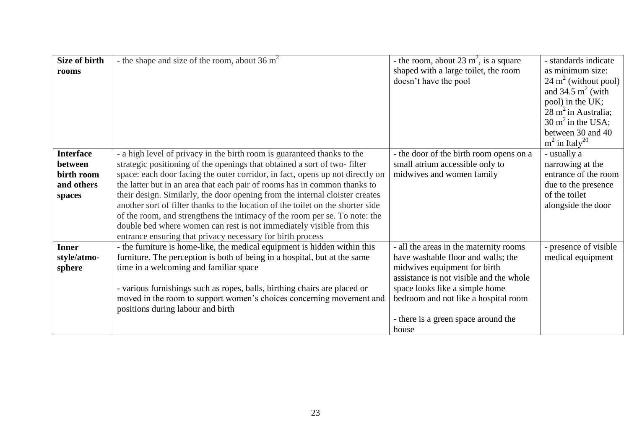| Size of birth    | - the shape and size of the room, about 36 $m2$                                 | - the room, about 23 $m^2$ , is a square | - standards indicate            |
|------------------|---------------------------------------------------------------------------------|------------------------------------------|---------------------------------|
| rooms            |                                                                                 | shaped with a large toilet, the room     | as minimum size:                |
|                  |                                                                                 | doesn't have the pool                    | $24 \text{ m}^2$ (without pool) |
|                  |                                                                                 |                                          | and $34.5 \text{ m}^2$ (with    |
|                  |                                                                                 |                                          | pool) in the UK;                |
|                  |                                                                                 |                                          | $28 \text{ m}^2$ in Australia;  |
|                  |                                                                                 |                                          | $30 \text{ m}^2$ in the USA;    |
|                  |                                                                                 |                                          | between 30 and 40               |
|                  |                                                                                 |                                          | $m^2$ in Italy <sup>20</sup>    |
| <b>Interface</b> | - a high level of privacy in the birth room is guaranteed thanks to the         | - the door of the birth room opens on a  | - usually a                     |
| between          | strategic positioning of the openings that obtained a sort of two-filter        | small atrium accessible only to          | narrowing at the                |
| birth room       | space: each door facing the outer corridor, in fact, opens up not directly on   | midwives and women family                | entrance of the room            |
| and others       | the latter but in an area that each pair of rooms has in common thanks to       |                                          | due to the presence             |
| spaces           | their design. Similarly, the door opening from the internal cloister creates    |                                          | of the toilet                   |
|                  | another sort of filter thanks to the location of the toilet on the shorter side |                                          | alongside the door              |
|                  | of the room, and strengthens the intimacy of the room per se. To note: the      |                                          |                                 |
|                  | double bed where women can rest is not immediately visible from this            |                                          |                                 |
|                  | entrance ensuring that privacy necessary for birth process                      |                                          |                                 |
| <b>Inner</b>     | - the furniture is home-like, the medical equipment is hidden within this       | - all the areas in the maternity rooms   | - presence of visible           |
| style/atmo-      | furniture. The perception is both of being in a hospital, but at the same       | have washable floor and walls; the       | medical equipment               |
| sphere           | time in a welcoming and familiar space                                          | midwives equipment for birth             |                                 |
|                  |                                                                                 | assistance is not visible and the whole  |                                 |
|                  | - various furnishings such as ropes, balls, birthing chairs are placed or       | space looks like a simple home           |                                 |
|                  | moved in the room to support women's choices concerning movement and            | bedroom and not like a hospital room     |                                 |
|                  | positions during labour and birth                                               |                                          |                                 |
|                  |                                                                                 | - there is a green space around the      |                                 |
|                  |                                                                                 | house                                    |                                 |